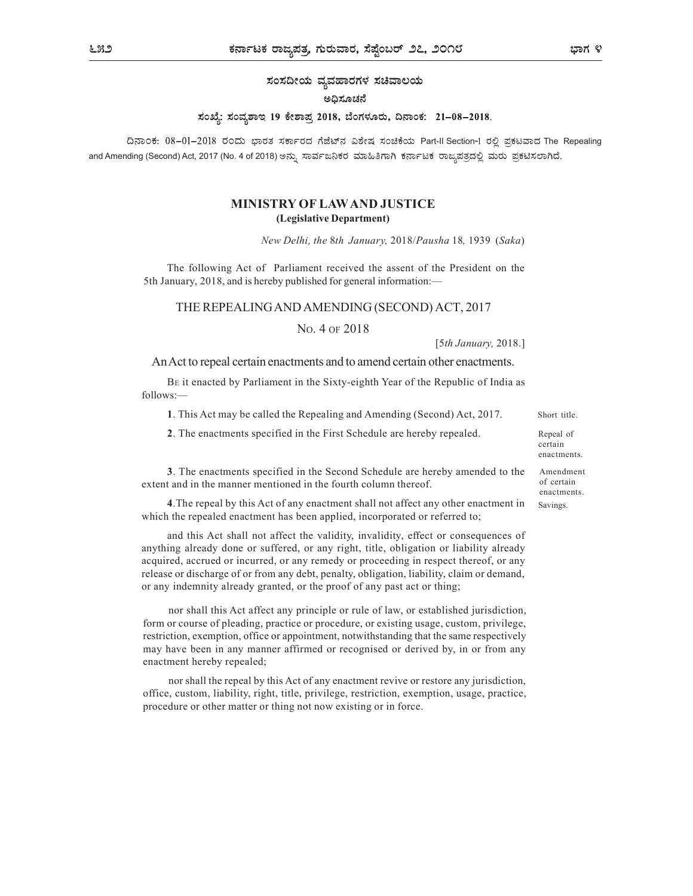ಸಂಸದೀಯ ವ್ಯವಹಾರಗಳ ಸಚಿವಾಲಯ

#### ಅದಿಸೂಚನೆ

### ಸಂಖ್ಯೆ: ಸಂವ್ನಶಾಇ 19 ಕೇಶಾಪ್ರ 2018, ಬೆಂಗಳೂರು, ದಿನಾಂಕ: 21–08–2018.

ದಿನಾಂಕ: 08–01–2018 ರಂದು ಭಾರತ ಸರ್ಕಾರದ ಗೆಜೆಟ್ನ ವಿಶೇಷ ಸಂಚಿಕೆಯ Part-II Section-1 ರಲ್ಲಿ ಪ್ರಕಟವಾದ The Repealing and Amending (Second) Act, 2017 (No. 4 of 2018)

## MINISTRY OF LAW AND JUSTICE (Legislative Department)

New Delhi, the 8th January, 2018/Pausha 18, 1939 (Saka)

The following Act of Parliament received the assent of the President on the 5th January, 2018, and is hereby published for general information:—

#### THE REPEALING AND AMENDING (SECOND) ACT, 2017

NO. 4 OF 2018

[5th January, 2018.]

An Act to repeal certain enactments and to amend certain other enactments.

BE it enacted by Parliament in the Sixty-eighth Year of the Republic of India as follows:—

1. This Act may be called the Repealing and Amending (Second) Act, 2017. Short title.

2. The enactments specified in the First Schedule are hereby repealed.

Repeal of certain

enactments. Amendment of certain

enactments. Savings.

3. The enactments specified in the Second Schedule are hereby amended to the extent and in the manner mentioned in the fourth column thereof.

4.The repeal by this Act of any enactment shall not affect any other enactment in which the repealed enactment has been applied, incorporated or referred to;

and this Act shall not affect the validity, invalidity, effect or consequences of anything already done or suffered, or any right, title, obligation or liability already acquired, accrued or incurred, or any remedy or proceeding in respect thereof, or any release or discharge of or from any debt, penalty, obligation, liability, claim or demand, or any indemnity already granted, or the proof of any past act or thing;

nor shall this Act affect any principle or rule of law, or established jurisdiction, form or course of pleading, practice or procedure, or existing usage, custom, privilege, restriction, exemption, office or appointment, notwithstanding that the same respectively may have been in any manner affirmed or recognised or derived by, in or from any enactment hereby repealed;

nor shall the repeal by this Act of any enactment revive or restore any jurisdiction, office, custom, liability, right, title, privilege, restriction, exemption, usage, practice, procedure or other matter or thing not now existing or in force.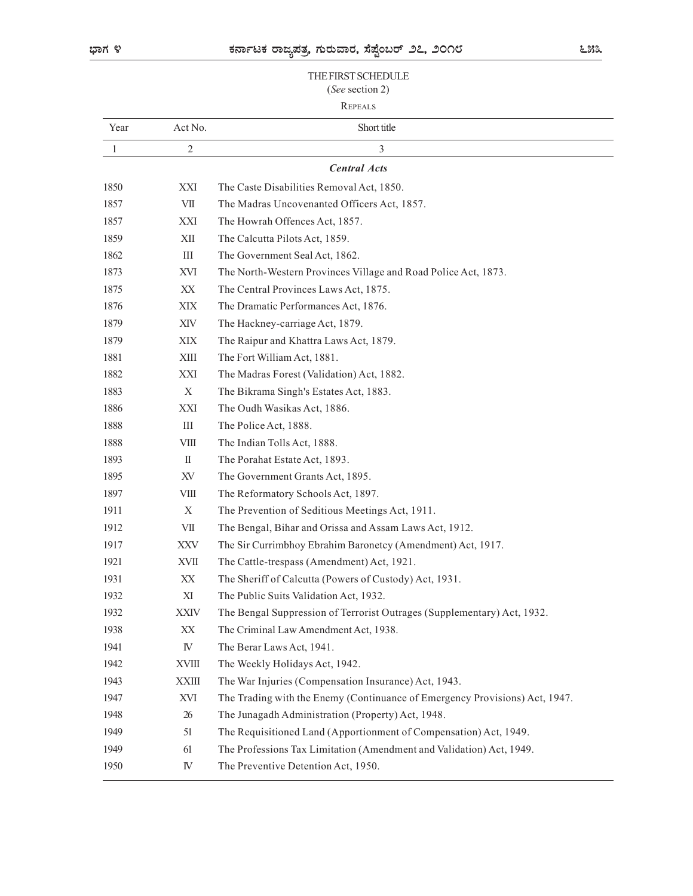### THE FIRST SCHEDULE (See section 2)

# REPEALS

|      |                        | THE FIRST SCHEDULE<br>(See section 2)                                       |
|------|------------------------|-----------------------------------------------------------------------------|
|      |                        | <b>REPEALS</b>                                                              |
| Year | Act No.                | Short title                                                                 |
| 1    | $\sqrt{2}$             | 3                                                                           |
|      |                        | <b>Central Acts</b>                                                         |
| 1850 | XXI                    | The Caste Disabilities Removal Act, 1850.                                   |
| 1857 | VII                    | The Madras Uncovenanted Officers Act, 1857.                                 |
| 1857 | XXI                    | The Howrah Offences Act, 1857.                                              |
| 1859 | XII                    | The Calcutta Pilots Act, 1859.                                              |
| 1862 | Ш                      | The Government Seal Act, 1862.                                              |
| 1873 | XVI                    | The North-Western Provinces Village and Road Police Act, 1873.              |
| 1875 | XX                     | The Central Provinces Laws Act, 1875.                                       |
| 1876 | XIX                    | The Dramatic Performances Act, 1876.                                        |
| 1879 | XIV                    | The Hackney-carriage Act, 1879.                                             |
| 1879 | $\bold{XIX}$           | The Raipur and Khattra Laws Act, 1879.                                      |
| 1881 | XIII                   | The Fort William Act, 1881.                                                 |
| 1882 | $\mathbf{XXI}$         | The Madras Forest (Validation) Act, 1882.                                   |
| 1883 | $\mathbf X$            | The Bikrama Singh's Estates Act, 1883.                                      |
| 1886 | $\mathbf{XXI}$         | The Oudh Wasikas Act, 1886.                                                 |
| 1888 | $\rm III$              | The Police Act, 1888.                                                       |
| 1888 | $V\text{III}$          | The Indian Tolls Act, 1888.                                                 |
| 1893 | $\rm II$               | The Porahat Estate Act, 1893.                                               |
| 1895 | XV                     | The Government Grants Act, 1895.                                            |
| 1897 | $\rm VIII$             | The Reformatory Schools Act, 1897.                                          |
| 1911 | X                      | The Prevention of Seditious Meetings Act, 1911.                             |
| 1912 | ${\rm VII}$            | The Bengal, Bihar and Orissa and Assam Laws Act, 1912.                      |
| 1917 | $\mathbf{XXV}$         | The Sir Currimbhoy Ebrahim Baronetcy (Amendment) Act, 1917.                 |
| 1921 | XVII                   | The Cattle-trespass (Amendment) Act, 1921.                                  |
| 1931 | $\mathbf{XX}$          | The Sheriff of Calcutta (Powers of Custody) Act, 1931.                      |
| 1932 | XI                     | The Public Suits Validation Act, 1932.                                      |
| 1932 | <b>XXIV</b>            | The Bengal Suppression of Terrorist Outrages (Supplementary) Act, 1932.     |
| 1938 | $\mathbf{X}\mathbf{X}$ | The Criminal Law Amendment Act, 1938.                                       |
| 1941 | ${\rm I\!V}$           | The Berar Laws Act, 1941.                                                   |
| 1942 | <b>XVIII</b>           | The Weekly Holidays Act, 1942.                                              |
| 1943 | <b>XXIII</b>           | The War Injuries (Compensation Insurance) Act, 1943.                        |
| 1947 | XVI                    | The Trading with the Enemy (Continuance of Emergency Provisions) Act, 1947. |
| 1948 | 26                     | The Junagadh Administration (Property) Act, 1948.                           |
| 1949 | 51                     | The Requisitioned Land (Apportionment of Compensation) Act, 1949.           |
| 1949 | 61                     | The Professions Tax Limitation (Amendment and Validation) Act, 1949.        |
| 1950 | ${\rm I\!V}$           | The Preventive Detention Act, 1950.                                         |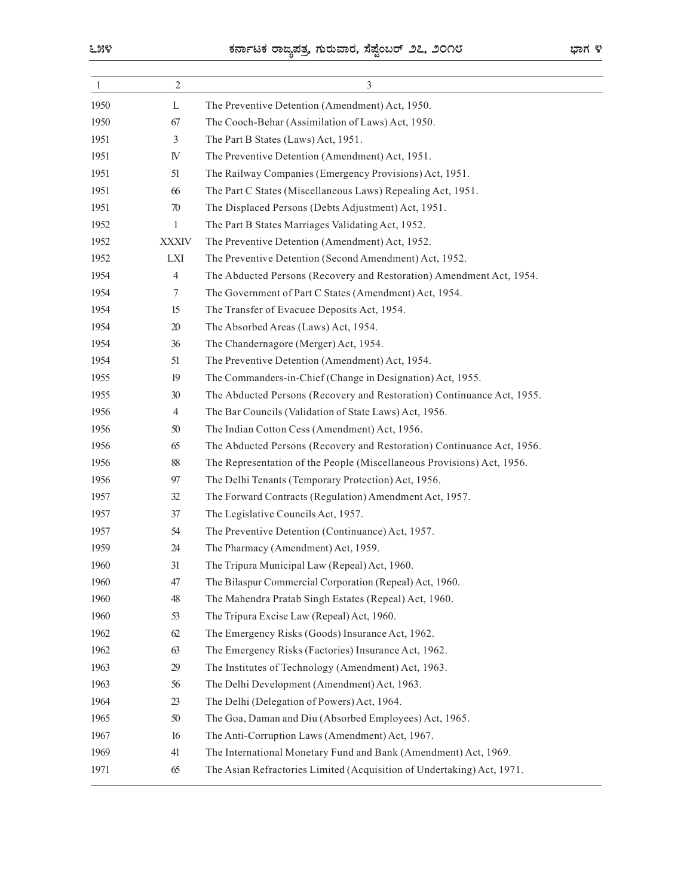|              | ಕರ್ನಾಟಕ ರಾಜ್ಯಪತ್ರ ಗುರುವಾರ, ಸೆಪ್ಟೆಂಬರ್ ೨೭, ೨೦೧೮<br>ಭಾಗ ೪ |                                                                                                                                  |  |
|--------------|---------------------------------------------------------|----------------------------------------------------------------------------------------------------------------------------------|--|
| 1            | $\overline{2}$                                          | $\mathfrak{Z}$                                                                                                                   |  |
| 1950         | L                                                       | The Preventive Detention (Amendment) Act, 1950.                                                                                  |  |
| 1950         | 67                                                      | The Cooch-Behar (Assimilation of Laws) Act, 1950.                                                                                |  |
| 1951         | 3                                                       | The Part B States (Laws) Act, 1951.                                                                                              |  |
| 1951         | IV                                                      | The Preventive Detention (Amendment) Act, 1951.                                                                                  |  |
| 1951         | 51                                                      | The Railway Companies (Emergency Provisions) Act, 1951.                                                                          |  |
| 1951<br>1951 | 66<br>70                                                | The Part C States (Miscellaneous Laws) Repealing Act, 1951.<br>The Displaced Persons (Debts Adjustment) Act, 1951.               |  |
| 1952         | $\mathbf{1}$                                            | The Part B States Marriages Validating Act, 1952.                                                                                |  |
| 1952         | <b>XXXIV</b>                                            | The Preventive Detention (Amendment) Act, 1952.                                                                                  |  |
| 1952         | LXI                                                     | The Preventive Detention (Second Amendment) Act, 1952.                                                                           |  |
| 1954         | 4                                                       | The Abducted Persons (Recovery and Restoration) Amendment Act, 1954.                                                             |  |
| 1954         | 7                                                       | The Government of Part C States (Amendment) Act, 1954.                                                                           |  |
| 1954         | 15                                                      | The Transfer of Evacuee Deposits Act, 1954.                                                                                      |  |
| 1954         | 20                                                      | The Absorbed Areas (Laws) Act, 1954.                                                                                             |  |
| 1954         | 36                                                      | The Chandernagore (Merger) Act, 1954.                                                                                            |  |
| 1954         | 51                                                      | The Preventive Detention (Amendment) Act, 1954.                                                                                  |  |
| 1955         | 19                                                      | The Commanders-in-Chief (Change in Designation) Act, 1955.                                                                       |  |
| 1955<br>1956 | 30 <sup>°</sup><br>$\overline{4}$                       | The Abducted Persons (Recovery and Restoration) Continuance Act, 1955.<br>The Bar Councils (Validation of State Laws) Act, 1956. |  |
| 1956         | 50                                                      | The Indian Cotton Cess (Amendment) Act, 1956.                                                                                    |  |
| 1956         | 65                                                      | The Abducted Persons (Recovery and Restoration) Continuance Act, 1956.                                                           |  |
| 1956         | 88                                                      | The Representation of the People (Miscellaneous Provisions) Act, 1956.                                                           |  |
| 1956         | $97\,$                                                  | The Delhi Tenants (Temporary Protection) Act, 1956.                                                                              |  |
| 1957         | 32                                                      | The Forward Contracts (Regulation) Amendment Act, 1957.                                                                          |  |
| 1957         | 37                                                      | The Legislative Councils Act, 1957.                                                                                              |  |
| 1957         | 54                                                      | The Preventive Detention (Continuance) Act, 1957.                                                                                |  |
| 1959         | 24                                                      | The Pharmacy (Amendment) Act, 1959.                                                                                              |  |
| 1960         | 31                                                      | The Tripura Municipal Law (Repeal) Act, 1960.                                                                                    |  |
| 1960         | 47                                                      | The Bilaspur Commercial Corporation (Repeal) Act, 1960.                                                                          |  |
| 1960         | $48\,$                                                  | The Mahendra Pratab Singh Estates (Repeal) Act, 1960.<br>The Tripura Excise Law (Repeal) Act, 1960.                              |  |
| 1960<br>1962 | 53<br>62                                                | The Emergency Risks (Goods) Insurance Act, 1962.                                                                                 |  |
| 1962         | 63                                                      | The Emergency Risks (Factories) Insurance Act, 1962.                                                                             |  |
| 1963         | 29                                                      | The Institutes of Technology (Amendment) Act, 1963.                                                                              |  |
| 1963         | 56                                                      | The Delhi Development (Amendment) Act, 1963.                                                                                     |  |
| 1964         | 23                                                      | The Delhi (Delegation of Powers) Act, 1964.                                                                                      |  |
| 1965         | 50                                                      | The Goa, Daman and Diu (Absorbed Employees) Act, 1965.                                                                           |  |
| 1967         | 16                                                      | The Anti-Corruption Laws (Amendment) Act, 1967.                                                                                  |  |
| 1969         | 41                                                      | The International Monetary Fund and Bank (Amendment) Act, 1969.                                                                  |  |
| 1971         | 65                                                      | The Asian Refractories Limited (Acquisition of Undertaking) Act, 1971.                                                           |  |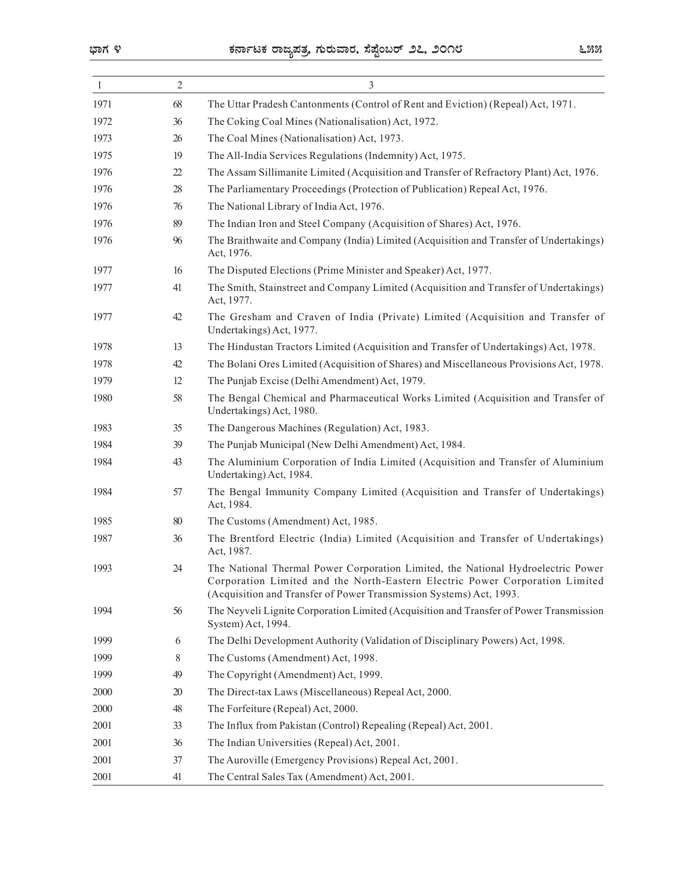|              |                  | ಕರ್ನಾಟಕ ರಾಜ್ಯಪತ್ರ, ಗುರುವಾರ, ಸೆಪ್ಟೆಂಬರ್ ೨೭, ೨೦೧೮<br>೬೫೫                                                                                                                              |
|--------------|------------------|-------------------------------------------------------------------------------------------------------------------------------------------------------------------------------------|
| -1           | $\overline{2}$   | $\mathfrak{Z}$                                                                                                                                                                      |
| 1971         | 68               | The Uttar Pradesh Cantonments (Control of Rent and Eviction) (Repeal) Act, 1971.                                                                                                    |
| 1972         | 36               | The Coking Coal Mines (Nationalisation) Act, 1972.                                                                                                                                  |
| 1973         | 26               | The Coal Mines (Nationalisation) Act, 1973.                                                                                                                                         |
| 1975         | 19               | The All-India Services Regulations (Indemnity) Act, 1975.                                                                                                                           |
| 1976         | $22\,$           | The Assam Sillimanite Limited (Acquisition and Transfer of Refractory Plant) Act, 1976.                                                                                             |
| 1976         | $28\,$           | The Parliamentary Proceedings (Protection of Publication) Repeal Act, 1976.                                                                                                         |
| 1976         | 76               | The National Library of India Act, 1976.                                                                                                                                            |
| 1976         | 89               | The Indian Iron and Steel Company (Acquisition of Shares) Act, 1976.                                                                                                                |
| 1976         | 96               | The Braithwaite and Company (India) Limited (Acquisition and Transfer of Undertakings)<br>Act, 1976.                                                                                |
| 1977         | 16               | The Disputed Elections (Prime Minister and Speaker) Act, 1977.                                                                                                                      |
| 1977         | 41               | The Smith, Stainstreet and Company Limited (Acquisition and Transfer of Undertakings)<br>Act, 1977.                                                                                 |
| 1977         | 42               | The Gresham and Craven of India (Private) Limited (Acquisition and Transfer of<br>Undertakings) Act, 1977.                                                                          |
| 1978         | 13               | The Hindustan Tractors Limited (Acquisition and Transfer of Undertakings) Act, 1978.                                                                                                |
| 1978         | $42\,$           | The Bolani Ores Limited (Acquisition of Shares) and Miscellaneous Provisions Act, 1978.                                                                                             |
| 1979         | 12               | The Punjab Excise (Delhi Amendment) Act, 1979.                                                                                                                                      |
| 1980         | $58\,$           | The Bengal Chemical and Pharmaceutical Works Limited (Acquisition and Transfer of<br>Undertakings) Act, 1980.                                                                       |
| 1983         | 35               | The Dangerous Machines (Regulation) Act, 1983.                                                                                                                                      |
| 1984         | 39               | The Punjab Municipal (New Delhi Amendment) Act, 1984.                                                                                                                               |
| 1984         | 43               | The Aluminium Corporation of India Limited (Acquisition and Transfer of Aluminium<br>Undertaking) Act, 1984.                                                                        |
| 1984         | 57               | The Bengal Immunity Company Limited (Acquisition and Transfer of Undertakings)<br>Act, 1984.                                                                                        |
| 1985         | $80\,$           | The Customs (Amendment) Act, 1985.                                                                                                                                                  |
| 1987<br>1993 | $36\,$<br>$24\,$ | The Brentford Electric (India) Limited (Acquisition and Transfer of Undertakings)<br>Act, 1987.<br>The National Thermal Power Corporation Limited, the National Hydroelectric Power |
|              |                  | Corporation Limited and the North-Eastern Electric Power Corporation Limited<br>(Acquisition and Transfer of Power Transmission Systems) Act, 1993.                                 |
| 1994         | 56               | The Neyveli Lignite Corporation Limited (Acquisition and Transfer of Power Transmission<br>System) Act, 1994.                                                                       |
| 1999         | 6                | The Delhi Development Authority (Validation of Disciplinary Powers) Act, 1998.                                                                                                      |
| 1999         | 8                | The Customs (Amendment) Act, 1998.                                                                                                                                                  |
| 1999         | 49               | The Copyright (Amendment) Act, 1999.                                                                                                                                                |
| 2000         | $20\,$           | The Direct-tax Laws (Miscellaneous) Repeal Act, 2000.                                                                                                                               |
| 2000         | $48\,$           | The Forfeiture (Repeal) Act, 2000.                                                                                                                                                  |
| 2001         | 33               | The Influx from Pakistan (Control) Repealing (Repeal) Act, 2001.                                                                                                                    |
| 2001         | 36               | The Indian Universities (Repeal) Act, 2001.                                                                                                                                         |
| 2001         | 37               | The Auroville (Emergency Provisions) Repeal Act, 2001.                                                                                                                              |
| 2001         | 41               | The Central Sales Tax (Amendment) Act, 2001.                                                                                                                                        |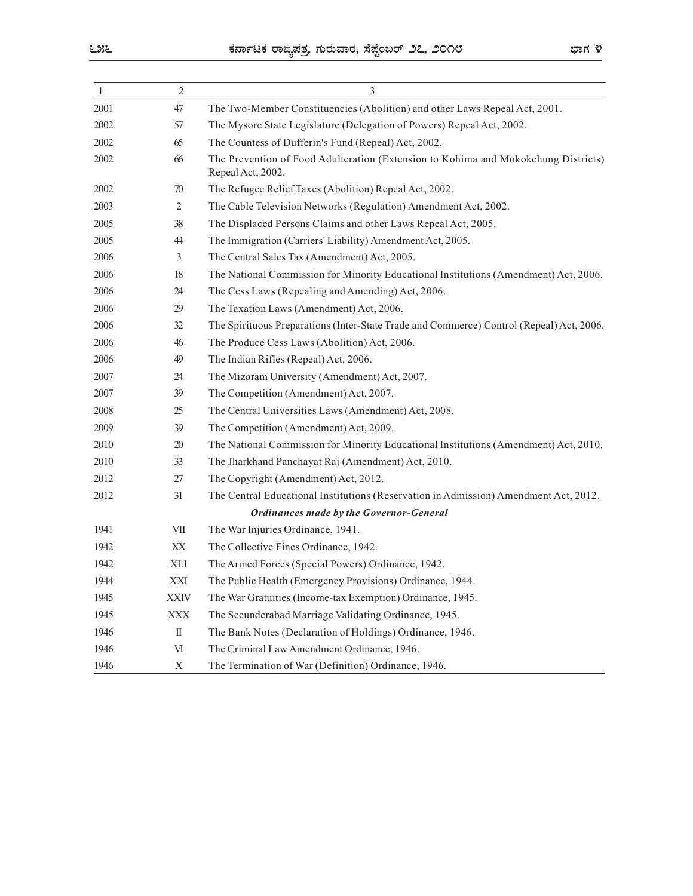| ಕರ್ನಾಟಕ ರಾಜ್ಯಪತ್ರ, ಗುರುವಾರ, ಸೆಪ್ಷೆಂಬರ್ ೨೭, ೨೦೧೮                                                                                      |                  | <u>- ೫೬</u>  |
|--------------------------------------------------------------------------------------------------------------------------------------|------------------|--------------|
| 3                                                                                                                                    | 2                | 1            |
| The Two-Member Constituencies (Abolition) and other Laws Repeal Act, 2001.                                                           | 47               | 2001         |
| The Mysore State Legislature (Delegation of Powers) Repeal Act, 2002.                                                                | 57               | 2002         |
| The Countess of Dufferin's Fund (Repeal) Act, 2002.                                                                                  | 65               | 2002         |
| The Prevention of Food Adulteration (Extension to Kohima and Mokokchung Districts)<br>Repeal Act, 2002.                              | 66               | 2002         |
| The Refugee Relief Taxes (Abolition) Repeal Act, 2002.                                                                               | 70               | 2002         |
| The Cable Television Networks (Regulation) Amendment Act, 2002.                                                                      | 2                | 2003         |
| The Displaced Persons Claims and other Laws Repeal Act, 2005.                                                                        | 38               | 2005         |
| The Immigration (Carriers' Liability) Amendment Act, 2005.                                                                           | 44               | 2005         |
| The Central Sales Tax (Amendment) Act, 2005.                                                                                         | 3                | 2006         |
| The National Commission for Minority Educational Institutions (Amendment) Act, 2006.                                                 | 18               | 2006         |
| The Cess Laws (Repealing and Amending) Act, 2006.                                                                                    | 24               | 2006         |
| The Taxation Laws (Amendment) Act, 2006.<br>The Spirituous Preparations (Inter-State Trade and Commerce) Control (Repeal) Act, 2006. | 29<br>$32\,$     | 2006<br>2006 |
| The Produce Cess Laws (Abolition) Act, 2006.                                                                                         | $46\,$           | 2006         |
| The Indian Rifles (Repeal) Act, 2006.                                                                                                | 49               | 2006         |
| The Mizoram University (Amendment) Act, 2007.                                                                                        | 24               | 2007         |
| The Competition (Amendment) Act, 2007.                                                                                               | 39               | 2007         |
| The Central Universities Laws (Amendment) Act, 2008.                                                                                 | $25\,$           | 2008         |
| The Competition (Amendment) Act, 2009.                                                                                               | 39               | 2009         |
| The National Commission for Minority Educational Institutions (Amendment) Act, 2010.                                                 | $20\,$           | 2010         |
| The Jharkhand Panchayat Raj (Amendment) Act, 2010.                                                                                   | 33               | 2010         |
| The Copyright (Amendment) Act, 2012.                                                                                                 | $27\,$           | 2012         |
| The Central Educational Institutions (Reservation in Admission) Amendment Act, 2012.                                                 | 31               | 2012         |
| <b>Ordinances made by the Governor-General</b>                                                                                       |                  |              |
| The War Injuries Ordinance, 1941.                                                                                                    | VII              | 1941         |
| The Collective Fines Ordinance, 1942.                                                                                                | XX               | 1942         |
| The Armed Forces (Special Powers) Ordinance, 1942.                                                                                   | XLI              | 1942         |
| The Public Health (Emergency Provisions) Ordinance, 1944.                                                                            | XXI              | 1944         |
| The War Gratuities (Income-tax Exemption) Ordinance, 1945.                                                                           | <b>XXIV</b>      | 1945         |
| The Secunderabad Marriage Validating Ordinance, 1945.                                                                                | <b>XXX</b>       | 1945         |
| The Bank Notes (Declaration of Holdings) Ordinance, 1946.                                                                            | $\rm II$         | 1946         |
| The Criminal Law Amendment Ordinance, 1946.                                                                                          | VI               | 1946         |
| The Termination of War (Definition) Ordinance, 1946.                                                                                 | $\boldsymbol{X}$ | 1946         |